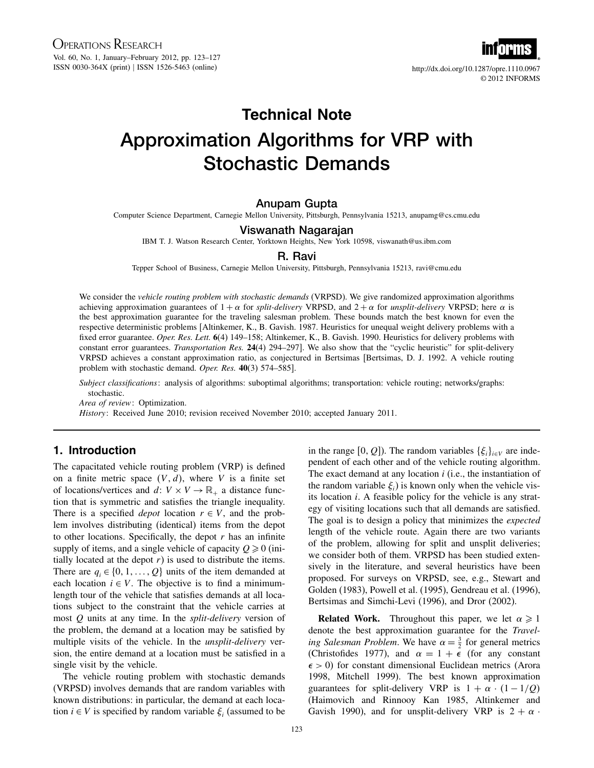© 2012 INFORMS

# Technical Note Approximation Algorithms for VRP with Stochastic Demands

# Anupam Gupta

Computer Science Department, Carnegie Mellon University, Pittsburgh, Pennsylvania 15213, anupamg@cs.cmu.edu

## Viswanath Nagarajan

IBM T. J. Watson Research Center, Yorktown Heights, New York 10598, viswanath@us.ibm.com

## R. Ravi

Tepper School of Business, Carnegie Mellon University, Pittsburgh, Pennsylvania 15213, ravi@cmu.edu

We consider the *vehicle routing problem with stochastic demands* (VRPSD). We give randomized approximation algorithms achieving approximation guarantees of  $1 + \alpha$  for *split-delivery* VRPSD, and  $2 + \alpha$  for *unsplit-delivery* VRPSD; here  $\alpha$  is the best approximation guarantee for the traveling salesman problem. These bounds match the best known for even the respective deterministic problems [Altinkemer, K., B. Gavish. 1987. Heuristics for unequal weight delivery problems with a fixed error guarantee. Oper. Res. Lett. 6(4) 149–158; Altinkemer, K., B. Gavish. 1990. Heuristics for delivery problems with constant error guarantees. Transportation Res. 24(4) 294–297]. We also show that the "cyclic heuristic" for split-delivery VRPSD achieves a constant approximation ratio, as conjectured in Bertsimas [Bertsimas, D. J. 1992. A vehicle routing problem with stochastic demand. Oper. Res. 40(3) 574-585].

Subject classifications: analysis of algorithms: suboptimal algorithms; transportation: vehicle routing; networks/graphs: stochastic.

Area of review: Optimization.

History: Received June 2010; revision received November 2010; accepted January 2011.

## 1. Introduction

The capacitated vehicle routing problem (VRP) is defined on a finite metric space  $(V, d)$ , where V is a finite set of locations/vertices and d:  $V \times V \rightarrow \mathbb{R}_+$  a distance function that is symmetric and satisfies the triangle inequality. There is a specified *depot* location  $r \in V$ , and the problem involves distributing (identical) items from the depot to other locations. Specifically, the depot  $r$  has an infinite supply of items, and a single vehicle of capacity  $Q \ge 0$  (initially located at the depot  $r$ ) is used to distribute the items. There are  $q_i \in \{0, 1, \ldots, Q\}$  units of the item demanded at each location  $i \in V$ . The objective is to find a minimumlength tour of the vehicle that satisfies demands at all locations subject to the constraint that the vehicle carries at most Q units at any time. In the *split-delivery* version of the problem, the demand at a location may be satisfied by multiple visits of the vehicle. In the *unsplit-delivery* version, the entire demand at a location must be satisfied in a single visit by the vehicle.

The vehicle routing problem with stochastic demands (VRPSD) involves demands that are random variables with known distributions: in particular, the demand at each location  $i \in V$  is specified by random variable  $\xi_i$  (assumed to be

in the range [0, Q]). The random variables  $\{\xi_i\}_{i \in V}$  are independent of each other and of the vehicle routing algorithm. The exact demand at any location  $i$  (i.e., the instantiation of the random variable  $\xi$ <sup>*i*</sup>) is known only when the vehicle visits location i. A feasible policy for the vehicle is any strategy of visiting locations such that all demands are satisfied. The goal is to design a policy that minimizes the *expected* length of the vehicle route. Again there are two variants of the problem, allowing for split and unsplit deliveries; we consider both of them. VRPSD has been studied extensively in the literature, and several heuristics have been proposed. For surveys on VRPSD, see, e.g., Stewart and Golden (1983), Powell et al. (1995), Gendreau et al. (1996), Bertsimas and Simchi-Levi (1996), and Dror (2002).

**Related Work.** Throughout this paper, we let  $\alpha \geq 1$ denote the best approximation guarantee for the Traveling Salesman Problem. We have  $\alpha = \frac{3}{2}$  for general metrics (Christofides 1977), and  $\alpha = 1 + \epsilon$  (for any constant  $\epsilon > 0$ ) for constant dimensional Euclidean metrics (Arora 1998, Mitchell 1999). The best known approximation guarantees for split-delivery VRP is  $1 + \alpha \cdot (1 - 1/Q)$ (Haimovich and Rinnooy Kan 1985, Altinkemer and Gavish 1990), and for unsplit-delivery VRP is  $2 + \alpha$ .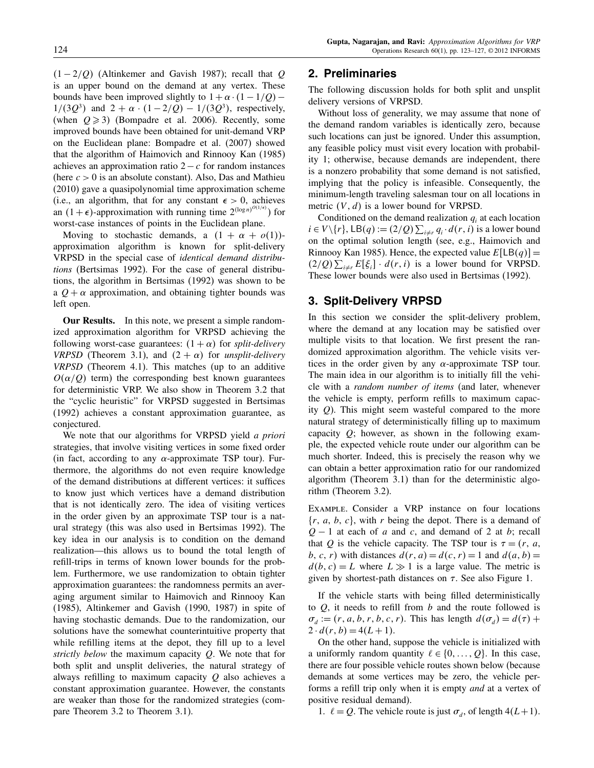$(1 - 2/Q)$  (Altinkemer and Gavish 1987); recall that Q is an upper bound on the demand at any vertex. These bounds have been improved slightly to  $1+\alpha \cdot (1-1/Q)$  –  $1/(3Q^3)$  and  $2 + \alpha \cdot (1 - 2/Q) - 1/(3Q^3)$ , respectively, (when  $Q \ge 3$ ) (Bompadre et al. 2006). Recently, some improved bounds have been obtained for unit-demand VRP on the Euclidean plane: Bompadre et al. (2007) showed that the algorithm of Haimovich and Rinnooy Kan (1985) achieves an approximation ratio  $2-c$  for random instances (here  $c > 0$  is an absolute constant). Also, Das and Mathieu (2010) gave a quasipolynomial time approximation scheme (i.e., an algorithm, that for any constant  $\epsilon > 0$ , achieves an  $(1 + \epsilon)$ -approximation with running time  $2^{(\log n)^{O(1/\epsilon)}}$  for worst-case instances of points in the Euclidean plane.

Moving to stochastic demands, a  $(1 + \alpha + o(1))$ approximation algorithm is known for split-delivery VRPSD in the special case of identical demand distributions (Bertsimas 1992). For the case of general distributions, the algorithm in Bertsimas (1992) was shown to be a  $Q + \alpha$  approximation, and obtaining tighter bounds was left open.

Our Results. In this note, we present a simple randomized approximation algorithm for VRPSD achieving the following worst-case guarantees:  $(1 + \alpha)$  for *split-delivery VRPSD* (Theorem 3.1), and  $(2 + \alpha)$  for *unsplit-delivery* VRPSD (Theorem 4.1). This matches (up to an additive  $O(\alpha/Q)$  term) the corresponding best known guarantees for deterministic VRP. We also show in Theorem 3.2 that the "cyclic heuristic" for VRPSD suggested in Bertsimas (1992) achieves a constant approximation guarantee, as conjectured.

We note that our algorithms for VRPSD yield *a priori* strategies, that involve visiting vertices in some fixed order (in fact, according to any  $\alpha$ -approximate TSP tour). Furthermore, the algorithms do not even require knowledge of the demand distributions at different vertices: it suffices to know just which vertices have a demand distribution that is not identically zero. The idea of visiting vertices in the order given by an approximate TSP tour is a natural strategy (this was also used in Bertsimas 1992). The key idea in our analysis is to condition on the demand realization—this allows us to bound the total length of refill-trips in terms of known lower bounds for the problem. Furthermore, we use randomization to obtain tighter approximation guarantees: the randomness permits an averaging argument similar to Haimovich and Rinnooy Kan (1985), Altinkemer and Gavish (1990, 1987) in spite of having stochastic demands. Due to the randomization, our solutions have the somewhat counterintuitive property that while refilling items at the depot, they fill up to a level strictly below the maximum capacity  $Q$ . We note that for both split and unsplit deliveries, the natural strategy of always refilling to maximum capacity  $Q$  also achieves a constant approximation guarantee. However, the constants are weaker than those for the randomized strategies (compare Theorem 3.2 to Theorem 3.1).

# 2. Preliminaries

The following discussion holds for both split and unsplit delivery versions of VRPSD.

Without loss of generality, we may assume that none of the demand random variables is identically zero, because such locations can just be ignored. Under this assumption, any feasible policy must visit every location with probability 1; otherwise, because demands are independent, there is a nonzero probability that some demand is not satisfied, implying that the policy is infeasible. Consequently, the minimum-length traveling salesman tour on all locations in metric  $(V, d)$  is a lower bound for VRPSD.

Conditioned on the demand realization  $q_i$  at each location  $i \in V \setminus \{r\}, \text{LB}(q) := (2/Q) \sum_{i \neq r} q_i \cdot d(r, i)$  is a lower bound on the optimal solution length (see, e.g., Haimovich and Rinnooy Kan 1985). Hence, the expected value  $E[LB(q)] =$  $(2/Q)\sum_{i\neq r} E[\xi_i] \cdot d(r,i)$  is a lower bound for VRPSD. These lower bounds were also used in Bertsimas (1992).

# 3. Split-Delivery VRPSD

In this section we consider the split-delivery problem, where the demand at any location may be satisfied over multiple visits to that location. We first present the randomized approximation algorithm. The vehicle visits vertices in the order given by any  $\alpha$ -approximate TSP tour. The main idea in our algorithm is to initially fill the vehicle with a random number of items (and later, whenever the vehicle is empty, perform refills to maximum capacity Q). This might seem wasteful compared to the more natural strategy of deterministically filling up to maximum capacity  $Q$ ; however, as shown in the following example, the expected vehicle route under our algorithm can be much shorter. Indeed, this is precisely the reason why we can obtain a better approximation ratio for our randomized algorithm (Theorem 3.1) than for the deterministic algorithm (Theorem 3.2).

Example. Consider a VRP instance on four locations  $\{r, a, b, c\}$ , with r being the depot. There is a demand of  $Q - 1$  at each of a and c, and demand of 2 at b; recall that Q is the vehicle capacity. The TSP tour is  $\tau = (r, a,$ b, c, r) with distances  $d(r, a) = d(c, r) = 1$  and  $d(a, b) =$  $d(b, c) = L$  where  $L \gg 1$  is a large value. The metric is given by shortest-path distances on  $\tau$ . See also Figure 1.

If the vehicle starts with being filled deterministically to  $Q$ , it needs to refill from  $b$  and the route followed is  $\sigma_d := (r, a, b, r, b, c, r)$ . This has length  $d(\sigma_d) = d(\tau) +$  $2 \cdot d(r, b) = 4(L + 1).$ 

On the other hand, suppose the vehicle is initialized with a uniformly random quantity  $\ell \in \{0, \ldots, Q\}$ . In this case, there are four possible vehicle routes shown below (because demands at some vertices may be zero, the vehicle performs a refill trip only when it is empty and at a vertex of positive residual demand).

1.  $\ell = Q$ . The vehicle route is just  $\sigma_d$ , of length 4(L+1).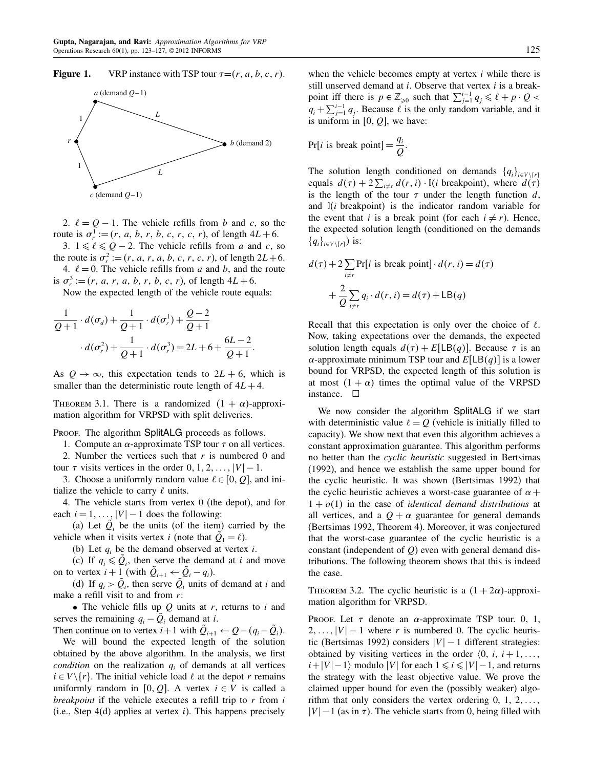**Figure 1.** VRP instance with TSP tour  $\tau = (r, a, b, c, r)$ .



2.  $\ell = Q - 1$ . The vehicle refills from b and c, so the route is  $\sigma_r^1 := (r, a, b, r, b, c, r, c, r)$ , of length  $4L + 6$ .

3.  $1 \leq \ell \leq Q - 2$ . The vehicle refills from a and c, so the route is  $\sigma_r^2 := (r, a, r, a, b, c, r, c, r)$ , of length  $2L+6$ .

4.  $\ell = 0$ . The vehicle refills from a and b, and the route is  $\sigma_r^3 := (r, a, r, a, b, r, b, c, r)$ , of length  $4L + 6$ .

Now the expected length of the vehicle route equals:

$$
\frac{1}{Q+1} \cdot d(\sigma_d) + \frac{1}{Q+1} \cdot d(\sigma_r^1) + \frac{Q-2}{Q+1} \cdot d(\sigma_r^2) + \frac{1}{Q+1} \cdot d(\sigma_r^3) = 2L + 6 + \frac{6L-2}{Q+1}.
$$

As  $Q \rightarrow \infty$ , this expectation tends to  $2L + 6$ , which is smaller than the deterministic route length of  $4L + 4$ .

THEOREM 3.1. There is a randomized  $(1 + \alpha)$ -approximation algorithm for VRPSD with split deliveries.

PROOF. The algorithm SplitALG proceeds as follows.

1. Compute an  $\alpha$ -approximate TSP tour  $\tau$  on all vertices. 2. Number the vertices such that  $r$  is numbered 0 and

tour  $\tau$  visits vertices in the order  $0, 1, 2, \ldots, |V| - 1$ . 3. Choose a uniformly random value  $\ell \in [0, Q]$ , and initialize the vehicle to carry  $\ell$  units.

4. The vehicle starts from vertex 0 (the depot), and for each  $i = 1, \ldots, |V| - 1$  does the following:

(a) Let  $\tilde{Q}_i$  be the units (of the item) carried by the vehicle when it visits vertex *i* (note that  $\tilde{Q}_1 = \ell$ ).

(b) Let  $q_i$  be the demand observed at vertex *i*.

(c) If  $q_i \leq \tilde{Q}_i$ , then serve the demand at i and move on to vertex  $i+1$  (with  $\tilde{Q}_{i+1} \leftarrow \tilde{Q}_i - q_i$ ).

(d) If  $q_i > \tilde{Q}_i$ , then serve  $\tilde{Q}_i$  units of demand at i and make a refill visit to and from  $r$ :

• The vehicle fills up  $Q$  units at  $r$ , returns to  $i$  and serves the remaining  $q_i - \tilde{Q}_i$  demand at *i*.

Then continue on to vertex  $i+1$  with  $\tilde{Q}_{i+1} \leftarrow Q - (q_i - \tilde{Q}_i)$ .

We will bound the expected length of the solution obtained by the above algorithm. In the analysis, we first condition on the realization  $q_i$  of demands at all vertices  $i \in V \setminus \{r\}$ . The initial vehicle load  $\ell$  at the depot r remains uniformly random in [0, Q]. A vertex  $i \in V$  is called a *breakpoint* if the vehicle executes a refill trip to  $r$  from  $i$ (i.e., Step 4(d) applies at vertex i). This happens precisely when the vehicle becomes empty at vertex  $i$  while there is still unserved demand at  $i$ . Observe that vertex  $i$  is a breakpoint iff there is  $p \in \mathbb{Z}_{\geqslant 0}$  such that  $\sum_{j=1}^{i-1} q_j \leqslant \ell + p \cdot Q$  $q_i + \sum_{j=1}^{i-1} q_j$ . Because  $\ell$  is the only random variable, and it is uniform in  $[0, Q]$ , we have:

$$
Pr[i \text{ is break point}] = \frac{q_i}{Q}.
$$

The solution length conditioned on demands  $\{q_i\}_{i\in V\setminus\{r\}}$ equals  $d(\tau) + 2\sum_{i \neq r} d(r, i) \cdot \mathbb{I}(i)$  breakpoint), where  $d(\tau)$ is the length of the tour  $\tau$  under the length function  $d$ , and  $\mathbb{I}(i)$  breakpoint) is the indicator random variable for the event that *i* is a break point (for each  $i \neq r$ ). Hence, the expected solution length (conditioned on the demands  $\{q_i\}_{i\in V\setminus\{r\}}$  is:

$$
d(\tau) + 2 \sum_{i \neq r} \Pr[i \text{ is break point}] \cdot d(r, i) = d(\tau)
$$

$$
+ \frac{2}{Q} \sum_{i \neq r} q_i \cdot d(r, i) = d(\tau) + \text{LB}(q)
$$

Recall that this expectation is only over the choice of  $\ell$ . Now, taking expectations over the demands, the expected solution length equals  $d(\tau) + E[LB(q)]$ . Because  $\tau$  is an  $\alpha$ -approximate minimum TSP tour and  $E[LB(q)]$  is a lower bound for VRPSD, the expected length of this solution is at most  $(1 + \alpha)$  times the optimal value of the VRPSD instance.  $\square$ 

We now consider the algorithm SplitALG if we start with deterministic value  $\ell = Q$  (vehicle is initially filled to capacity). We show next that even this algorithm achieves a constant approximation guarantee. This algorithm performs no better than the cyclic heuristic suggested in Bertsimas (1992), and hence we establish the same upper bound for the cyclic heuristic. It was shown (Bertsimas 1992) that the cyclic heuristic achieves a worst-case guarantee of  $\alpha$  +  $1 + o(1)$  in the case of *identical demand distributions* at all vertices, and a  $Q + \alpha$  guarantee for general demands (Bertsimas 1992, Theorem 4). Moreover, it was conjectured that the worst-case guarantee of the cyclic heuristic is a constant (independent of  $Q$ ) even with general demand distributions. The following theorem shows that this is indeed the case.

THEOREM 3.2. The cyclic heuristic is a  $(1 + 2\alpha)$ -approximation algorithm for VRPSD.

PROOF. Let  $\tau$  denote an  $\alpha$ -approximate TSP tour. 0, 1,  $2, \ldots, |V| - 1$  where r is numbered 0. The cyclic heuristic (Bertsimas 1992) considers  $|V| - 1$  different strategies: obtained by visiting vertices in the order  $\langle 0, i, i+1, \ldots \rangle$  $i+|V| - 1$  modulo |V| for each  $1 \le i \le |V| - 1$ , and returns the strategy with the least objective value. We prove the claimed upper bound for even the (possibly weaker) algorithm that only considers the vertex ordering  $0, 1, 2, \ldots$  $|V| - 1$  (as in  $\tau$ ). The vehicle starts from 0, being filled with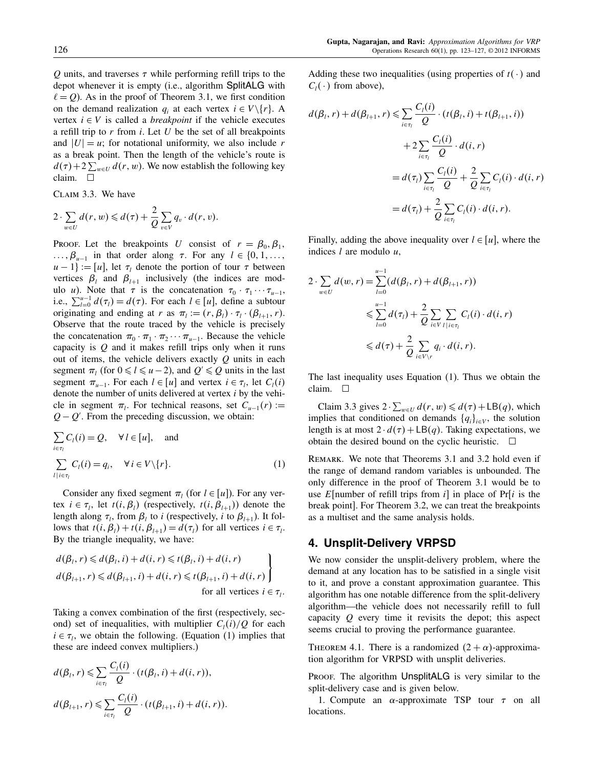$Q$  units, and traverses  $\tau$  while performing refill trips to the depot whenever it is empty (i.e., algorithm SplitALG with  $\ell = Q$ ). As in the proof of Theorem 3.1, we first condition on the demand realization  $q_i$  at each vertex  $i \in V \setminus \{r\}$ . A vertex  $i \in V$  is called a *breakpoint* if the vehicle executes a refill trip to  $r$  from  $i$ . Let  $U$  be the set of all breakpoints and  $|U| = u$ ; for notational uniformity, we also include r as a break point. Then the length of the vehicle's route is  $d(\tau)$  + 2  $\sum_{w \in U} d(r, w)$ . We now establish the following key claim.

Claim 3.3. We have

$$
2\cdot \sum_{w\in U}d(r,w)\leqslant d(\tau)+\frac{2}{Q}\sum_{v\in V}q_v\cdot d(r,v).
$$

PROOF. Let the breakpoints U consist of  $r = \beta_0, \beta_1$ ,  $\ldots, \beta_{u-1}$  in that order along  $\tau$ . For any  $l \in \{0, 1, \ldots, \}$  $u - 1$ } := [u], let  $\tau_l$  denote the portion of tour  $\tau$  between vertices  $\beta_l$  and  $\beta_{l+1}$  inclusively (the indices are modulo *u*). Note that  $\tau$  is the concatenation  $\tau_0 \cdot \tau_1 \cdots \tau_{u-1}$ , i.e.,  $\sum_{l=0}^{u-1} d(\tau_l) = d(\tau)$ . For each  $l \in [u]$ , define a subtour originating and ending at r as  $\pi_l := (r, \beta_l) \cdot \tau_l \cdot (\beta_{l+1}, r)$ . Observe that the route traced by the vehicle is precisely the concatenation  $\pi_0 \cdot \pi_1 \cdot \pi_2 \cdots \pi_{u-1}$ . Because the vehicle capacity is  $Q$  and it makes refill trips only when it runs out of items, the vehicle delivers exactly  $Q$  units in each segment  $\pi_l$  (for  $0 \le l \le u-2$ ), and  $Q' \le Q$  units in the last segment  $\pi_{u-1}$ . For each  $l \in [u]$  and vertex  $i \in \tau_l$ , let  $C_l(i)$ denote the number of units delivered at vertex  $i$  by the vehicle in segment  $\pi_l$ . For technical reasons, set  $C_{u-1}(r) :=$  $Q - Q'$ . From the preceding discussion, we obtain:

$$
\sum_{i \in \tau_l} C_l(i) = Q, \quad \forall l \in [u], \text{ and}
$$
\n
$$
\sum_{l \mid i \in \tau_l} C_l(i) = q_i, \quad \forall i \in V \setminus \{r\}. \tag{1}
$$

Consider any fixed segment  $\pi_l$  (for  $l \in [u]$ ). For any vertex  $i \in \tau_l$ , let  $t(i, \beta_l)$  (respectively,  $t(i, \beta_{l+1})$ ) denote the length along  $\tau_l$ , from  $\beta_l$  to *i* (respectively, *i* to  $\beta_{l+1}$ ). It follows that  $t(i, \beta_i) + t(i, \beta_{i+1}) = d(\tau_i)$  for all vertices  $i \in \tau_i$ . By the triangle inequality, we have:

$$
d(\beta_l, r) \leq d(\beta_l, i) + d(i, r) \leq t(\beta_l, i) + d(i, r)
$$
  
\n
$$
d(\beta_{l+1}, r) \leq d(\beta_{l+1}, i) + d(i, r) \leq t(\beta_{l+1}, i) + d(i, r)
$$
  
\nfor all vertices  $i \in \tau_l$ .

Taking a convex combination of the first (respectively, second) set of inequalities, with multiplier  $C_l(i)/Q$  for each  $i \in \tau_i$ , we obtain the following. (Equation (1) implies that these are indeed convex multipliers.)

$$
d(\beta_l, r) \leq \sum_{i \in \tau_l} \frac{C_l(i)}{Q} \cdot (t(\beta_l, i) + d(i, r)),
$$
  

$$
d(\beta_{l+1}, r) \leq \sum_{i \in \tau_l} \frac{C_l(i)}{Q} \cdot (t(\beta_{l+1}, i) + d(i, r)).
$$

Adding these two inequalities (using properties of  $t(\cdot)$  and  $C_l(\cdot)$  from above),

$$
d(\beta_l, r) + d(\beta_{l+1}, r) \leq \sum_{i \in \tau_l} \frac{C_l(i)}{Q} \cdot (t(\beta_l, i) + t(\beta_{l+1}, i))
$$
  
+2
$$
\sum_{i \in \tau_l} \frac{C_l(i)}{Q} \cdot d(i, r)
$$
  
= 
$$
d(\tau_l) \sum_{i \in \tau_l} \frac{C_l(i)}{Q} + \frac{2}{Q} \sum_{i \in \tau_l} C_l(i) \cdot d(i, r)
$$
  
= 
$$
d(\tau_l) + \frac{2}{Q} \sum_{i \in \tau_l} C_l(i) \cdot d(i, r).
$$

Finally, adding the above inequality over  $l \in [u]$ , where the indices  $l$  are modulo  $u$ ,

$$
2 \cdot \sum_{w \in U} d(w, r) = \sum_{l=0}^{u-1} (d(\beta_l, r) + d(\beta_{l+1}, r))
$$
  
\$\leqslant \sum\_{l=0}^{u-1} d(\tau\_l) + \frac{2}{Q} \sum\_{i \in V} \sum\_{l \in \tau\_l} C\_l(i) \cdot d(i, r)\$  
\$\leqslant d(\tau) + \frac{2}{Q} \sum\_{i \in V \setminus r} q\_i \cdot d(i, r).

The last inequality uses Equation (1). Thus we obtain the claim.  $\square$ 

Claim 3.3 gives  $2 \cdot \sum_{w \in U} d(r, w) \leq d(\tau) + \mathsf{LB}(q)$ , which implies that conditioned on demands  $\{q_i\}_{i\in V}$ , the solution length is at most  $2 \cdot d(\tau) + \text{LB}(q)$ . Taking expectations, we obtain the desired bound on the cyclic heuristic.  $\Box$ 

REMARK. We note that Theorems 3.1 and 3.2 hold even if the range of demand random variables is unbounded. The only difference in the proof of Theorem 3.1 would be to use E[number of refill trips from  $i$ ] in place of Pr[i is the break point]. For Theorem 3.2, we can treat the breakpoints as a multiset and the same analysis holds.

# 4. Unsplit-Delivery VRPSD

We now consider the unsplit-delivery problem, where the demand at any location has to be satisfied in a single visit to it, and prove a constant approximation guarantee. This algorithm has one notable difference from the split-delivery algorithm—the vehicle does not necessarily refill to full capacity  $Q$  every time it revisits the depot; this aspect seems crucial to proving the performance guarantee.

THEOREM 4.1. There is a randomized  $(2 + \alpha)$ -approximation algorithm for VRPSD with unsplit deliveries.

PROOF. The algorithm UnsplitALG is very similar to the split-delivery case and is given below.

1. Compute an  $\alpha$ -approximate TSP tour  $\tau$  on all locations.